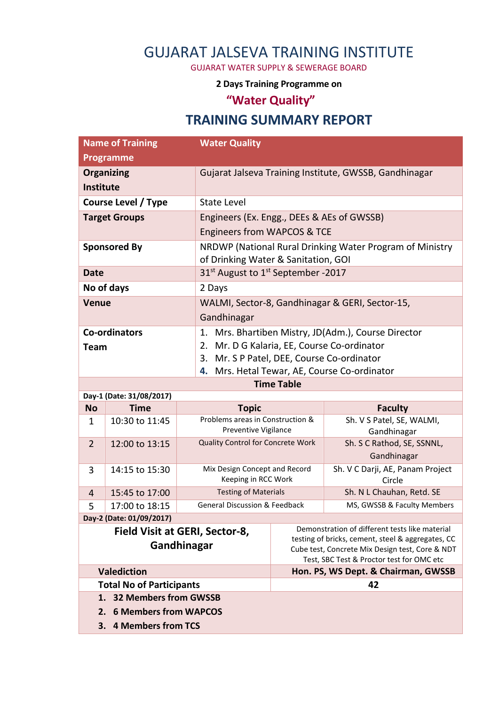## GUJARAT JALSEVA TRAINING INSTITUTE

GUJARAT WATER SUPPLY & SEWERAGE BOARD

**2 Days Training Programme on** 

## **"Water Quality"**

## **TRAINING SUMMARY REPORT**

| <b>Name of Training</b>                              |                | <b>Water Quality</b>                                 |                                                                                                     |                                             |  |
|------------------------------------------------------|----------------|------------------------------------------------------|-----------------------------------------------------------------------------------------------------|---------------------------------------------|--|
| Programme                                            |                |                                                      |                                                                                                     |                                             |  |
| <b>Organizing</b>                                    |                |                                                      | Gujarat Jalseva Training Institute, GWSSB, Gandhinagar                                              |                                             |  |
| <b>Institute</b>                                     |                |                                                      |                                                                                                     |                                             |  |
| <b>Course Level / Type</b>                           |                | <b>State Level</b>                                   |                                                                                                     |                                             |  |
| <b>Target Groups</b>                                 |                |                                                      | Engineers (Ex. Engg., DEEs & AEs of GWSSB)                                                          |                                             |  |
|                                                      |                |                                                      | Engineers from WAPCOS & TCE                                                                         |                                             |  |
| <b>Sponsored By</b>                                  |                |                                                      | NRDWP (National Rural Drinking Water Program of Ministry                                            |                                             |  |
|                                                      |                |                                                      | of Drinking Water & Sanitation, GOI                                                                 |                                             |  |
| <b>Date</b>                                          |                |                                                      | 31 <sup>st</sup> August to 1 <sup>st</sup> September -2017                                          |                                             |  |
| No of days                                           |                | 2 Days                                               |                                                                                                     |                                             |  |
| <b>Venue</b>                                         |                |                                                      | WALMI, Sector-8, Gandhinagar & GERI, Sector-15,                                                     |                                             |  |
|                                                      |                | Gandhinagar                                          |                                                                                                     |                                             |  |
| <b>Co-ordinators</b>                                 |                | 1.                                                   | Mrs. Bhartiben Mistry, JD(Adm.), Course Director                                                    |                                             |  |
| <b>Team</b>                                          |                |                                                      | 2. Mr. D G Kalaria, EE, Course Co-ordinator                                                         |                                             |  |
|                                                      |                | 3.                                                   | Mr. S P Patel, DEE, Course Co-ordinator                                                             |                                             |  |
|                                                      |                |                                                      | 4. Mrs. Hetal Tewar, AE, Course Co-ordinator                                                        |                                             |  |
| <b>Time Table</b>                                    |                |                                                      |                                                                                                     |                                             |  |
| Day-1 (Date: 31/08/2017)<br><b>Time</b><br><b>No</b> |                | <b>Topic</b>                                         |                                                                                                     |                                             |  |
| $\mathbf 1$                                          | 10:30 to 11:45 | Problems areas in Construction &                     |                                                                                                     | <b>Faculty</b><br>Sh. V S Patel, SE, WALMI, |  |
|                                                      |                | Preventive Vigilance                                 |                                                                                                     | Gandhinagar                                 |  |
| 12:00 to 13:15<br>$\overline{2}$                     |                | Quality Control for Concrete Work                    |                                                                                                     | Sh. S C Rathod, SE, SSNNL,                  |  |
|                                                      |                |                                                      |                                                                                                     | Gandhinagar                                 |  |
| 3                                                    | 14:15 to 15:30 | Mix Design Concept and Record<br>Keeping in RCC Work |                                                                                                     | Sh. V C Darji, AE, Panam Project<br>Circle  |  |
| 4                                                    | 15:45 to 17:00 | <b>Testing of Materials</b>                          |                                                                                                     | Sh. N L Chauhan, Retd. SE                   |  |
| 5                                                    | 17:00 to 18:15 | <b>General Discussion &amp; Feedback</b>             |                                                                                                     | MS, GWSSB & Faculty Members                 |  |
| Day-2 (Date: 01/09/2017)                             |                |                                                      |                                                                                                     |                                             |  |
|                                                      |                | Field Visit at GERI, Sector-8,                       | Demonstration of different tests like material<br>testing of bricks, cement, steel & aggregates, CC |                                             |  |
| Gandhinagar                                          |                |                                                      | Cube test, Concrete Mix Design test, Core & NDT<br>Test, SBC Test & Proctor test for OMC etc        |                                             |  |
| <b>Valediction</b>                                   |                |                                                      | Hon. PS, WS Dept. & Chairman, GWSSB                                                                 |                                             |  |
| <b>Total No of Participants</b>                      |                |                                                      | 42                                                                                                  |                                             |  |
| 1. 32 Members from GWSSB                             |                |                                                      |                                                                                                     |                                             |  |
| <b>6 Members from WAPCOS</b><br>2.                   |                |                                                      |                                                                                                     |                                             |  |
| <b>4 Members from TCS</b><br>3.                      |                |                                                      |                                                                                                     |                                             |  |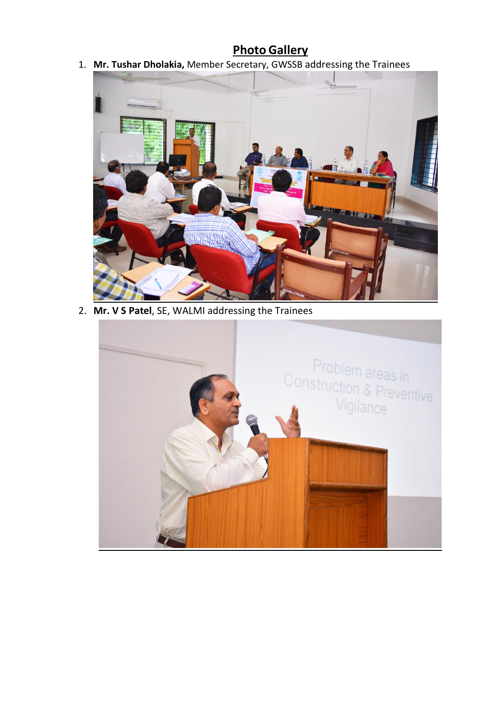## **Photo Gallery**

1. **Mr. Tushar Dholakia,** Member Secretary, GWSSB addressing the Trainees



2. **Mr. V S Patel**, SE, WALMI addressing the Trainees